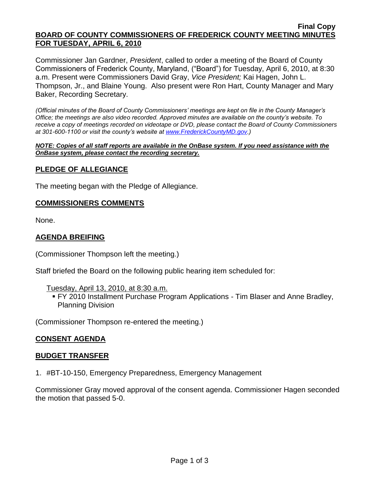#### **Final Copy BOARD OF COUNTY COMMISSIONERS OF FREDERICK COUNTY MEETING MINUTES FOR TUESDAY, APRIL 6, 2010**

Commissioner Jan Gardner, *President*, called to order a meeting of the Board of County Commissioners of Frederick County, Maryland, ("Board") for Tuesday, April 6, 2010, at 8:30 a.m. Present were Commissioners David Gray, *Vice President;* Kai Hagen, John L. Thompson, Jr., and Blaine Young. Also present were Ron Hart, County Manager and Mary Baker, Recording Secretary.

*(Official minutes of the Board of County Commissioners' meetings are kept on file in the County Manager's Office; the meetings are also video recorded. Approved minutes are available on the county's website. To receive a copy of meetings recorded on videotape or DVD, please contact the Board of County Commissioners at 301-600-1100 or visit the county's website at [www.FrederickCountyMD.gov.](http://www.frederickcountymd.gov/))*

*NOTE: Copies of all staff reports are available in the OnBase system. If you need assistance with the OnBase system, please contact the recording secretary.*

## **PLEDGE OF ALLEGIANCE**

The meeting began with the Pledge of Allegiance.

### **COMMISSIONERS COMMENTS**

None.

## **AGENDA BREIFING**

(Commissioner Thompson left the meeting.)

Staff briefed the Board on the following public hearing item scheduled for:

Tuesday, April 13, 2010, at 8:30 a.m.

 FY 2010 Installment Purchase Program Applications - Tim Blaser and Anne Bradley, Planning Division

(Commissioner Thompson re-entered the meeting.)

### **CONSENT AGENDA**

### **BUDGET TRANSFER**

1. #BT-10-150, Emergency Preparedness, Emergency Management

Commissioner Gray moved approval of the consent agenda. Commissioner Hagen seconded the motion that passed 5-0.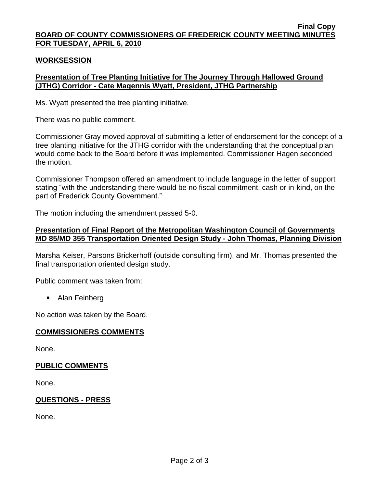#### **Final Copy BOARD OF COUNTY COMMISSIONERS OF FREDERICK COUNTY MEETING MINUTES FOR TUESDAY, APRIL 6, 2010**

## **WORKSESSION**

# **Presentation of Tree Planting Initiative for The Journey Through Hallowed Ground (JTHG) Corridor - Cate Magennis Wyatt, President, JTHG Partnership**

Ms. Wyatt presented the tree planting initiative.

There was no public comment.

Commissioner Gray moved approval of submitting a letter of endorsement for the concept of a tree planting initiative for the JTHG corridor with the understanding that the conceptual plan would come back to the Board before it was implemented. Commissioner Hagen seconded the motion.

Commissioner Thompson offered an amendment to include language in the letter of support stating "with the understanding there would be no fiscal commitment, cash or in-kind, on the part of Frederick County Government."

The motion including the amendment passed 5-0.

# **Presentation of Final Report of the Metropolitan Washington Council of Governments MD 85/MD 355 Transportation Oriented Design Study - John Thomas, Planning Division**

Marsha Keiser, Parsons Brickerhoff (outside consulting firm), and Mr. Thomas presented the final transportation oriented design study.

Public comment was taken from:

• Alan Feinberg

No action was taken by the Board.

# **COMMISSIONERS COMMENTS**

None.

# **PUBLIC COMMENTS**

None.

# **QUESTIONS - PRESS**

None.